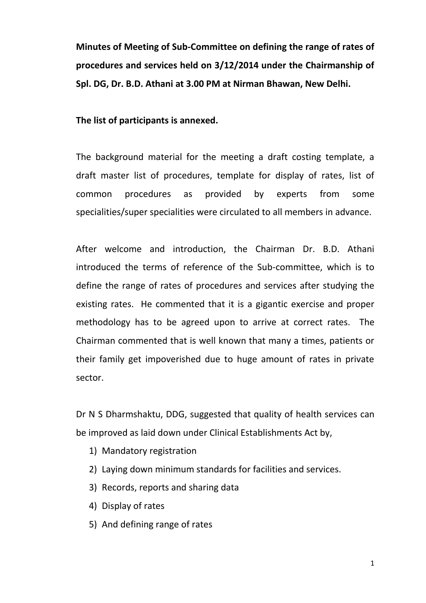**Minutes of Meeting of Sub-Committee on defining the range of rates of procedures and services held on 3/12/2014 under the Chairmanship of Spl. DG, Dr. B.D. Athani at 3.00 PM at Nirman Bhawan, New Delhi.** 

## **The list of participants is annexed.**

The background material for the meeting a draft costing template, a draft master list of procedures, template for display of rates, list of common procedures as provided by experts from some specialities/super specialities were circulated to all members in advance.

After welcome and introduction, the Chairman Dr. B.D. Athani introduced the terms of reference of the Sub-committee, which is to define the range of rates of procedures and services after studying the existing rates. He commented that it is a gigantic exercise and proper methodology has to be agreed upon to arrive at correct rates. The Chairman commented that is well known that many a times, patients or their family get impoverished due to huge amount of rates in private sector.

Dr N S Dharmshaktu, DDG, suggested that quality of health services can be improved as laid down under Clinical Establishments Act by,

- 1) Mandatory registration
- 2) Laying down minimum standards for facilities and services.
- 3) Records, reports and sharing data
- 4) Display of rates
- 5) And defining range of rates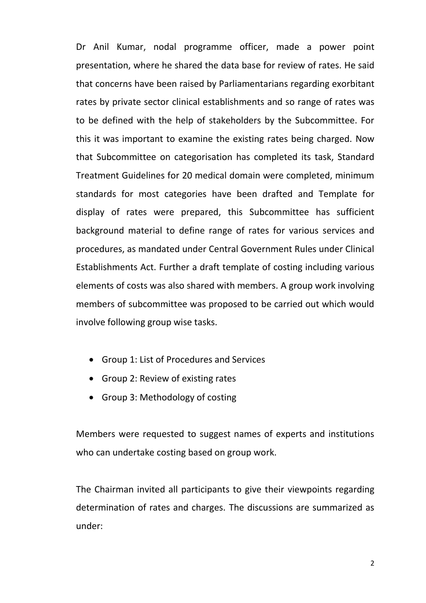Dr Anil Kumar, nodal programme officer, made a power point presentation, where he shared the data base for review of rates. He said that concerns have been raised by Parliamentarians regarding exorbitant rates by private sector clinical establishments and so range of rates was to be defined with the help of stakeholders by the Subcommittee. For this it was important to examine the existing rates being charged. Now that Subcommittee on categorisation has completed its task, Standard Treatment Guidelines for 20 medical domain were completed, minimum standards for most categories have been drafted and Template for display of rates were prepared, this Subcommittee has sufficient background material to define range of rates for various services and procedures, as mandated under Central Government Rules under Clinical Establishments Act. Further a draft template of costing including various elements of costs was also shared with members. A group work involving members of subcommittee was proposed to be carried out which would involve following group wise tasks.

- Group 1: List of Procedures and Services
- Group 2: Review of existing rates
- Group 3: Methodology of costing

Members were requested to suggest names of experts and institutions who can undertake costing based on group work.

The Chairman invited all participants to give their viewpoints regarding determination of rates and charges. The discussions are summarized as under: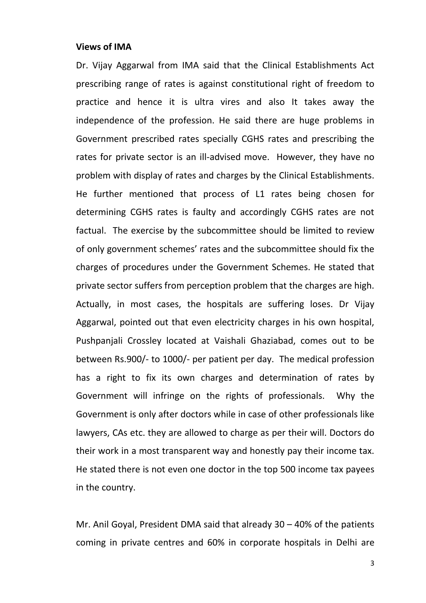#### **Views of IMA**

Dr. Vijay Aggarwal from IMA said that the Clinical Establishments Act prescribing range of rates is against constitutional right of freedom to practice and hence it is ultra vires and also It takes away the independence of the profession. He said there are huge problems in Government prescribed rates specially CGHS rates and prescribing the rates for private sector is an ill-advised move. However, they have no problem with display of rates and charges by the Clinical Establishments. He further mentioned that process of L1 rates being chosen for determining CGHS rates is faulty and accordingly CGHS rates are not factual. The exercise by the subcommittee should be limited to review of only government schemes' rates and the subcommittee should fix the charges of procedures under the Government Schemes. He stated that private sector suffers from perception problem that the charges are high. Actually, in most cases, the hospitals are suffering loses. Dr Vijay Aggarwal, pointed out that even electricity charges in his own hospital, Pushpanjali Crossley located at Vaishali Ghaziabad, comes out to be between Rs.900/- to 1000/- per patient per day. The medical profession has a right to fix its own charges and determination of rates by Government will infringe on the rights of professionals. Why the Government is only after doctors while in case of other professionals like lawyers, CAs etc. they are allowed to charge as per their will. Doctors do their work in a most transparent way and honestly pay their income tax. He stated there is not even one doctor in the top 500 income tax payees in the country.

Mr. Anil Goyal, President DMA said that already 30 – 40% of the patients coming in private centres and 60% in corporate hospitals in Delhi are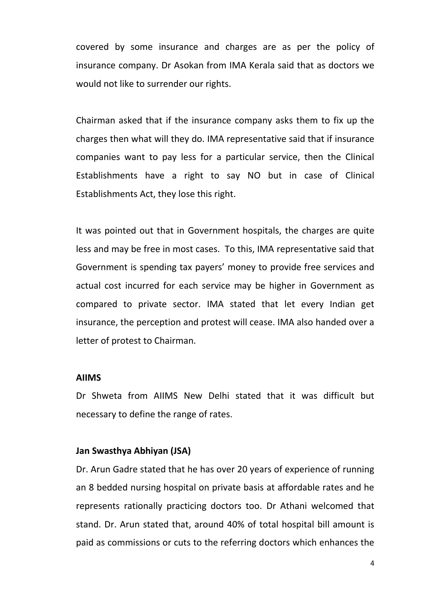covered by some insurance and charges are as per the policy of insurance company. Dr Asokan from IMA Kerala said that as doctors we would not like to surrender our rights.

Chairman asked that if the insurance company asks them to fix up the charges then what will they do. IMA representative said that if insurance companies want to pay less for a particular service, then the Clinical Establishments have a right to say NO but in case of Clinical Establishments Act, they lose this right.

It was pointed out that in Government hospitals, the charges are quite less and may be free in most cases. To this, IMA representative said that Government is spending tax payers' money to provide free services and actual cost incurred for each service may be higher in Government as compared to private sector. IMA stated that let every Indian get insurance, the perception and protest will cease. IMA also handed over a letter of protest to Chairman.

#### **AIIMS**

Dr Shweta from AIIMS New Delhi stated that it was difficult but necessary to define the range of rates.

# **Jan Swasthya Abhiyan (JSA)**

Dr. Arun Gadre stated that he has over 20 years of experience of running an 8 bedded nursing hospital on private basis at affordable rates and he represents rationally practicing doctors too. Dr Athani welcomed that stand. Dr. Arun stated that, around 40% of total hospital bill amount is paid as commissions or cuts to the referring doctors which enhances the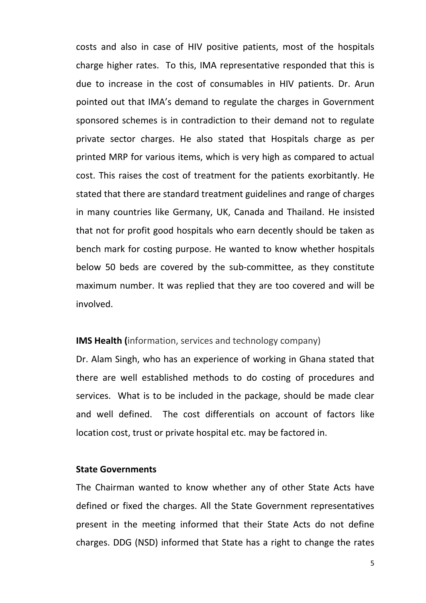costs and also in case of HIV positive patients, most of the hospitals charge higher rates. To this, IMA representative responded that this is due to increase in the cost of consumables in HIV patients. Dr. Arun pointed out that IMA's demand to regulate the charges in Government sponsored schemes is in contradiction to their demand not to regulate private sector charges. He also stated that Hospitals charge as per printed MRP for various items, which is very high as compared to actual cost. This raises the cost of treatment for the patients exorbitantly. He stated that there are standard treatment guidelines and range of charges in many countries like Germany, UK, Canada and Thailand. He insisted that not for profit good hospitals who earn decently should be taken as bench mark for costing purpose. He wanted to know whether hospitals below 50 beds are covered by the sub-committee, as they constitute maximum number. It was replied that they are too covered and will be involved.

# **IMS Health (**information, services and technology company)

Dr. Alam Singh, who has an experience of working in Ghana stated that there are well established methods to do costing of procedures and services. What is to be included in the package, should be made clear and well defined. The cost differentials on account of factors like location cost, trust or private hospital etc. may be factored in.

## **State Governments**

The Chairman wanted to know whether any of other State Acts have defined or fixed the charges. All the State Government representatives present in the meeting informed that their State Acts do not define charges. DDG (NSD) informed that State has a right to change the rates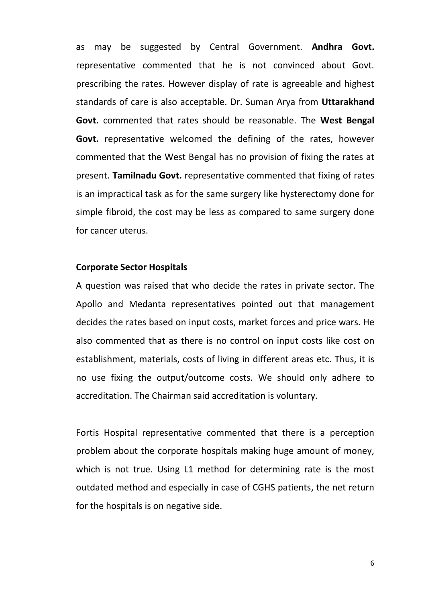as may be suggested by Central Government. **Andhra Govt.** representative commented that he is not convinced about Govt. prescribing the rates. However display of rate is agreeable and highest standards of care is also acceptable. Dr. Suman Arya from **Uttarakhand Govt.** commented that rates should be reasonable. The **West Bengal Govt.** representative welcomed the defining of the rates, however commented that the West Bengal has no provision of fixing the rates at present. **Tamilnadu Govt.** representative commented that fixing of rates is an impractical task as for the same surgery like hysterectomy done for simple fibroid, the cost may be less as compared to same surgery done for cancer uterus.

### **Corporate Sector Hospitals**

A question was raised that who decide the rates in private sector. The Apollo and Medanta representatives pointed out that management decides the rates based on input costs, market forces and price wars. He also commented that as there is no control on input costs like cost on establishment, materials, costs of living in different areas etc. Thus, it is no use fixing the output/outcome costs. We should only adhere to accreditation. The Chairman said accreditation is voluntary.

Fortis Hospital representative commented that there is a perception problem about the corporate hospitals making huge amount of money, which is not true. Using L1 method for determining rate is the most outdated method and especially in case of CGHS patients, the net return for the hospitals is on negative side.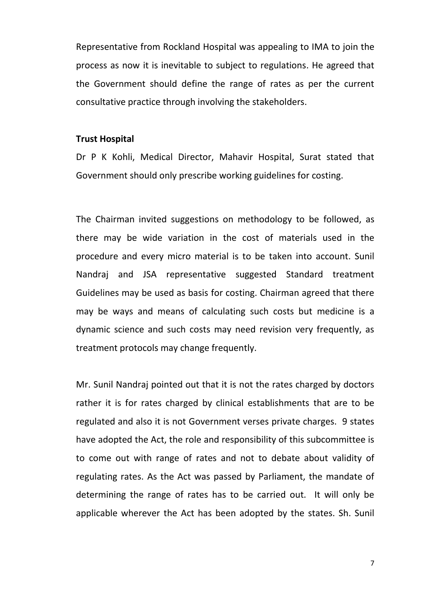Representative from Rockland Hospital was appealing to IMA to join the process as now it is inevitable to subject to regulations. He agreed that the Government should define the range of rates as per the current consultative practice through involving the stakeholders.

## **Trust Hospital**

Dr P K Kohli, Medical Director, Mahavir Hospital, Surat stated that Government should only prescribe working guidelines for costing.

The Chairman invited suggestions on methodology to be followed, as there may be wide variation in the cost of materials used in the procedure and every micro material is to be taken into account. Sunil Nandraj and JSA representative suggested Standard treatment Guidelines may be used as basis for costing. Chairman agreed that there may be ways and means of calculating such costs but medicine is a dynamic science and such costs may need revision very frequently, as treatment protocols may change frequently.

Mr. Sunil Nandraj pointed out that it is not the rates charged by doctors rather it is for rates charged by clinical establishments that are to be regulated and also it is not Government verses private charges. 9 states have adopted the Act, the role and responsibility of this subcommittee is to come out with range of rates and not to debate about validity of regulating rates. As the Act was passed by Parliament, the mandate of determining the range of rates has to be carried out. It will only be applicable wherever the Act has been adopted by the states. Sh. Sunil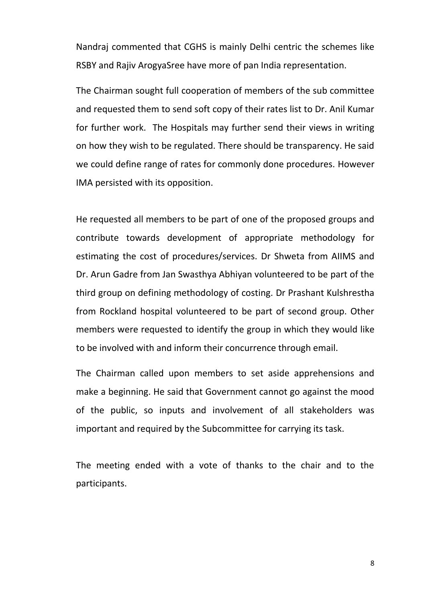Nandraj commented that CGHS is mainly Delhi centric the schemes like RSBY and Rajiv ArogyaSree have more of pan India representation.

The Chairman sought full cooperation of members of the sub committee and requested them to send soft copy of their rates list to Dr. Anil Kumar for further work. The Hospitals may further send their views in writing on how they wish to be regulated. There should be transparency. He said we could define range of rates for commonly done procedures. However IMA persisted with its opposition.

He requested all members to be part of one of the proposed groups and contribute towards development of appropriate methodology for estimating the cost of procedures/services. Dr Shweta from AIIMS and Dr. Arun Gadre from Jan Swasthya Abhiyan volunteered to be part of the third group on defining methodology of costing. Dr Prashant Kulshrestha from Rockland hospital volunteered to be part of second group. Other members were requested to identify the group in which they would like to be involved with and inform their concurrence through email.

The Chairman called upon members to set aside apprehensions and make a beginning. He said that Government cannot go against the mood of the public, so inputs and involvement of all stakeholders was important and required by the Subcommittee for carrying its task.

The meeting ended with a vote of thanks to the chair and to the participants.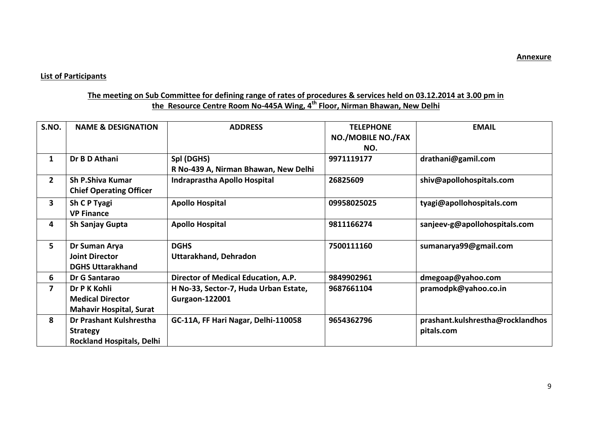#### **Annexure**

#### **List of Participants**

# **The meeting on Sub Committee for defining range of rates of procedures & services held on 03.12.2014 at 3.00 pm in the Resource Centre Room No-445A Wing, 4 th Floor, Nirman Bhawan, New Delhi**

| S.NO.          | <b>NAME &amp; DESIGNATION</b>                                                  | <b>ADDRESS</b>                                                 | <b>TELEPHONE</b><br>NO./MOBILE NO./FAX<br>NO. | <b>EMAIL</b>                                   |
|----------------|--------------------------------------------------------------------------------|----------------------------------------------------------------|-----------------------------------------------|------------------------------------------------|
| $\mathbf{1}$   | Dr B D Athani                                                                  | Spl (DGHS)<br>R No-439 A, Nirman Bhawan, New Delhi             | 9971119177                                    | drathani@gamil.com                             |
| $\overline{2}$ | <b>Sh P.Shiva Kumar</b><br><b>Chief Operating Officer</b>                      | Indraprastha Apollo Hospital                                   | 26825609                                      | shiv@apollohospitals.com                       |
| 3              | Sh C P Tyagi<br><b>VP Finance</b>                                              | <b>Apollo Hospital</b>                                         | 09958025025                                   | tyagi@apollohospitals.com                      |
| 4              | <b>Sh Sanjay Gupta</b>                                                         | <b>Apollo Hospital</b>                                         | 9811166274                                    | sanjeev-g@apollohospitals.com                  |
| 5              | Dr Suman Arya<br><b>Joint Director</b><br><b>DGHS Uttarakhand</b>              | <b>DGHS</b><br>Uttarakhand, Dehradon                           | 7500111160                                    | sumanarya99@gmail.com                          |
| 6              | Dr G Santarao                                                                  | Director of Medical Education, A.P.                            | 9849902961                                    | dmegoap@yahoo.com                              |
| $\overline{7}$ | Dr P K Kohli<br><b>Medical Director</b><br><b>Mahavir Hospital, Surat</b>      | H No-33, Sector-7, Huda Urban Estate,<br><b>Gurgaon-122001</b> | 9687661104                                    | pramodpk@yahoo.co.in                           |
| 8              | Dr Prashant Kulshrestha<br><b>Strategy</b><br><b>Rockland Hospitals, Delhi</b> | GC-11A, FF Hari Nagar, Delhi-110058                            | 9654362796                                    | prashant.kulshrestha@rocklandhos<br>pitals.com |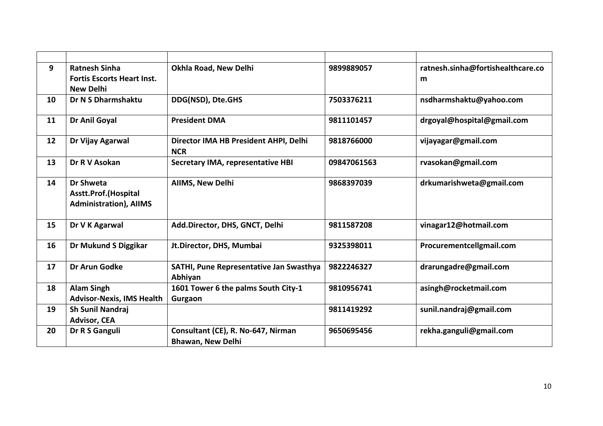| 9  | <b>Ratnesh Sinha</b>              | Okhla Road, New Delhi                               | 9899889057  | ratnesh.sinha@fortishealthcare.co |
|----|-----------------------------------|-----------------------------------------------------|-------------|-----------------------------------|
|    | <b>Fortis Escorts Heart Inst.</b> |                                                     |             | m                                 |
|    | <b>New Delhi</b>                  |                                                     |             |                                   |
| 10 | Dr N S Dharmshaktu                | DDG(NSD), Dte.GHS                                   | 7503376211  | nsdharmshaktu@yahoo.com           |
| 11 | <b>Dr Anil Goyal</b>              | <b>President DMA</b>                                | 9811101457  | drgoyal@hospital@gmail.com        |
| 12 | Dr Vijay Agarwal                  | Director IMA HB President AHPI, Delhi<br><b>NCR</b> | 9818766000  | vijayagar@gmail.com               |
| 13 | Dr R V Asokan                     | Secretary IMA, representative HBI                   | 09847061563 | rvasokan@gmail.com                |
|    |                                   |                                                     |             |                                   |
| 14 | <b>Dr Shweta</b>                  | <b>AIIMS, New Delhi</b>                             | 9868397039  | drkumarishweta@gmail.com          |
|    | Asstt.Prof.(Hospital              |                                                     |             |                                   |
|    | <b>Administration), AIIMS</b>     |                                                     |             |                                   |
| 15 | Dr V K Agarwal                    | Add.Director, DHS, GNCT, Delhi                      | 9811587208  | vinagar12@hotmail.com             |
|    |                                   |                                                     |             |                                   |
| 16 | Dr Mukund S Diggikar              | Jt.Director, DHS, Mumbai                            | 9325398011  | Procurementcellgmail.com          |
|    |                                   |                                                     |             |                                   |
| 17 | <b>Dr Arun Godke</b>              | SATHI, Pune Representative Jan Swasthya             | 9822246327  | drarungadre@gmail.com             |
|    |                                   | Abhiyan                                             |             |                                   |
| 18 | <b>Alam Singh</b>                 | 1601 Tower 6 the palms South City-1                 | 9810956741  | asingh@rocketmail.com             |
|    | <b>Advisor-Nexis, IMS Health</b>  | Gurgaon                                             |             |                                   |
| 19 | <b>Sh Sunil Nandraj</b>           |                                                     | 9811419292  | sunil.nandraj@gmail.com           |
|    | <b>Advisor, CEA</b>               |                                                     |             |                                   |
| 20 | Dr R S Ganguli                    | Consultant (CE), R. No-647, Nirman                  | 9650695456  | rekha.ganguli@gmail.com           |
|    |                                   | <b>Bhawan, New Delhi</b>                            |             |                                   |